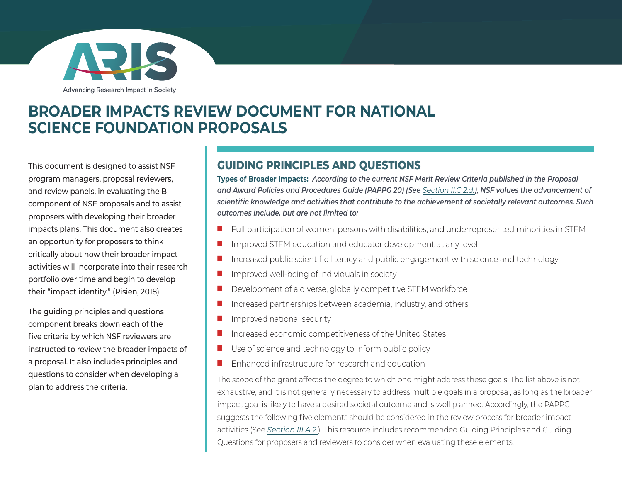

Advancing Research Impact in Society

### **BROADER IMPACTS REVIEW DOCUMENT FOR NATIONAL SCIENCE FOUNDATION PROPOSALS**

This document is designed to assist NSF program managers, proposal reviewers, and review panels, in evaluating the BI component of NSF proposals and to assist proposers with developing their broader impacts plans. This document also creates an opportunity for proposers to think critically about how their broader impact activities will incorporate into their research portfolio over time and begin to develop their "impact identity." (Risien, 2018)

The guiding principles and questions component breaks down each of the five criteria by which NSF reviewers are instructed to review the broader impacts of a proposal. It also includes principles and questions to consider when developing a plan to address the criteria.

#### **GUIDING PRINCIPLES AND QUESTIONS**

**Types of Broader Impacts:** *According to the current NSF Merit Review Criteria published in the Proposal and Award Policies and Procedures Guide (PAPPG 20) (See [Section II.C.2.d.](https://nsf.gov/pubs/policydocs/pappg20_1/pappg_2.jsp#IIC2d)), NSF values the advancement of scientific knowledge and activities that contribute to the achievement of societally relevant outcomes. Such outcomes include, but are not limited to:*

- Full participation of women, persons with disabilities, and underrepresented minorities in STEM
- Improved STEM education and educator development at any level
- Increased public scientific literacy and public engagement with science and technology
- Improved well-being of individuals in society
- Development of a diverse, globally competitive STEM workforce
- Increased partnerships between academia, industry, and others
- Improved national security
- Increased economic competitiveness of the United States
- Use of science and technology to inform public policy
- Enhanced infrastructure for research and education

The scope of the grant affects the degree to which one might address these goals. The list above is not exhaustive, and it is not generally necessary to address multiple goals in a proposal, as long as the broader impact goal is likely to have a desired societal outcome and is well planned. Accordingly, the PAPPG suggests the following five elements should be considered in the review process for broader impact activities (See *[Section III.A.2.](https://nsf.gov/pubs/policydocs/pappg20_1/pappg_3.jsp#IIIA2)*). This resource includes recommended Guiding Principles and Guiding Questions for proposers and reviewers to consider when evaluating these elements.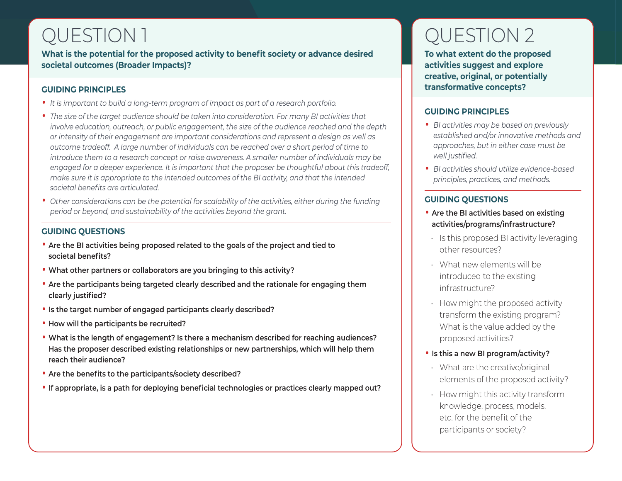### QUESTION 1

**What is the potential for the proposed activity to benefit society or advance desired societal outcomes (Broader Impacts)?**

#### **GUI DING PRINCIPLES**

- *It is important to build a long-term program of impact as part of a research portfolio.*
- *The size of the target audience should be taken into consideration. For many BI activities that involve education, outreach, or public engagement, the size of the audience reached and the depth or intensity of their engagement are important considerations and represent a design as well as outcome tradeoff. A large number of individuals can be reached over a short period of time to introduce them to a research concept or raise awareness. A smaller number of individuals may be engaged for a deeper experience. It is important that the proposer be thoughtful about this tradeoff, make sure it is appropriate to the intended outcomes of the BI activity, and that the intended societal benefits are articulated.*
- *Other considerations can be the potential for scalability of the activities, either during the funding period or beyond, and sustainability of the activities beyond the grant.*

#### **GU IDING QUESTIONS**

- **Are the BI activities being proposed related to the goals of the project and tied to societal benefits?**
- **What other partners or collaborators are you bringing to this activity?**
- **Are the participants being targeted clearly described and the rationale for engaging them clearly justified?**
- **Is the target number of engaged participants clearly described?**
- **How will the participants be recruited?**
- **What is the length of engagement? Is there a mechanism described for reaching audiences? Has the proposer described existing relationships or new partnerships, which will help them reach their audience?**
- **Are the benefits to the participants/society described?**
- **If appropriate, is a path for deploying beneficial technologies or practices clearly mapped out?**

# QUESTION 2

**To what extent do the proposed activities suggest and explore creative, original, or potentially transformative concepts?**

#### **GUIDING PRINCIPLES**

- *BI activities may be based on previously established and/or innovative methods and approaches, but in either case must be well justified.*
- *BI activities should utilize evidence-based principles, practices, and methods.*

#### **GUIDING QUESTIONS**

- **Are the BI activities based on existing activities/programs/infrastructure?**
- Is this proposed BI activity leveraging other resources?
- What new elements will be introduced to the existing infrastructure?
- How might the proposed activity transform the existing program? What is the value added by the proposed activities?
- **Is this a new BI program/activity?**
- What are the creative/original elements of the proposed activity?
- How might this activity transform knowledge, process, models, etc. for the benefit of the participants or society?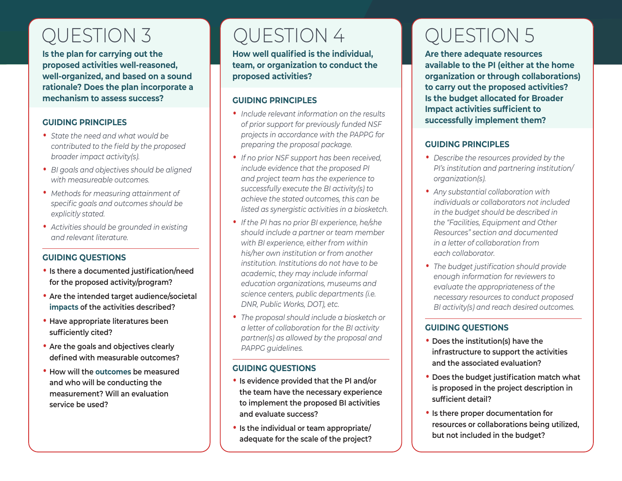### QUESTION 3 QUESTION 4

**Is the plan for carrying out the proposed activities well-reasoned, well-organized, and based on a sound rationale? Does the plan incorporate a mechanism to assess success?**

#### **GUIDING PRINCIPLES**

- *State the need and what would be contributed to the field by the proposed broader impact activity(s).*
- *BI goals and objectives should be aligned with measureable outcomes.*
- *Methods for measuring attainment of specific goals and outcomes should be explicitly stated.*
- *Activities should be grounded in existing and relevant literature.*

#### **GUIDING QUESTIONS**

- **Is there a documented justification/need for the proposed activity/program?**
- **Are the intended target audience/societal impacts of the activities described?**
- **Have appropriate literatures been sufficiently cited?**
- **Are the goals and objectives clearly defined with measurable outcomes?**
- **How will the outcomes be measured and who will be conducting the measurement? Will an evaluation service be used?**

**How well qualified is the individual, team, or organization to conduct the proposed activities?**

#### **GUIDING PRINCIPLES**

- *Include relevant information on the results of prior support for previously funded NSF projects in accordance with the PAPPG for preparing the proposal package.*
- *If no prior NSF support has been received, include evidence that the proposed PI and project team has the experience to successfully execute the BI activity(s) to achieve the stated outcomes, this can be listed as synergistic activities in a biosketch.*
- *If the PI has no prior BI experience, he/she should include a partner or team member with BI experience, either from within his/her own institution or from another institution. Institutions do not have to be academic, they may include informal education organizations, museums and science centers, public departments (i.e. DNR, Public Works, DOT), etc.*
- *The proposal should include a biosketch or a letter of collaboration for the BI activity partner(s) as allowed by the proposal and PAPPG guidelines.*

#### **GUIDING QUESTIONS**

- **Is evidence provided that the PI and/or the team have the necessary experience to implement the proposed BI activities and evaluate success?**
- **Is the individual or team appropriate/ adequate for the scale of the project?**

# QUESTION 5

**Are there adequate resources available to the PI (either at the home organization or through collaborations) to carry out the proposed activities? Is the budget allocated for Broader Impact activities sufficient to successfully implement them?**

#### **GUIDING PRINCIPLES**

- *Describe the resources provided by the PI's institution and partnering institution/ organization(s).*
- *Any substantial collaboration with individuals or collaborators not included in the budget should be described in the "Facilities, Equipment and Other Resources" section and documented in a letter of collaboration from each collaborator.*
- *The budget justification should provide enough information for reviewers to evaluate the appropriateness of the necessary resources to conduct proposed BI activity(s) and reach desired outcomes.*

#### **GUIDING QUESTIONS**

- **Does the institution(s) have the infrastructure to support the activities and the associated evaluation?**
- **Does the budget justification match what is proposed in the project description in sufficient detail?**
- **Is there proper documentation for resources or collaborations being utilized, but not included in the budget?**